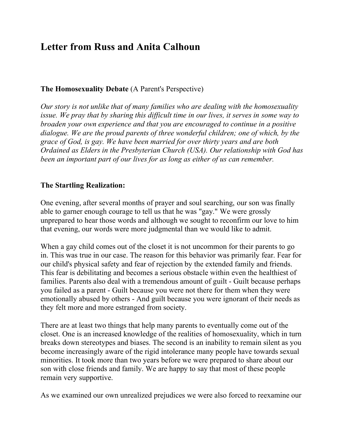# **Letter from Russ and Anita Calhoun**

## **The Homosexuality Debate** (A Parent's Perspective)

*Our story is not unlike that of many families who are dealing with the homosexuality issue. We pray that by sharing this difficult time in our lives, it serves in some way to broaden your own experience and that you are encouraged to continue in a positive dialogue. We are the proud parents of three wonderful children; one of which, by the grace of God, is gay. We have been married for over thirty years and are both Ordained as Elders in the Presbyterian Church (USA). Our relationship with God has been an important part of our lives for as long as either of us can remember.*

## **The Startling Realization:**

One evening, after several months of prayer and soul searching, our son was finally able to garner enough courage to tell us that he was "gay." We were grossly unprepared to hear those words and although we sought to reconfirm our love to him that evening, our words were more judgmental than we would like to admit.

When a gay child comes out of the closet it is not uncommon for their parents to go in. This was true in our case. The reason for this behavior was primarily fear. Fear for our child's physical safety and fear of rejection by the extended family and friends. This fear is debilitating and becomes a serious obstacle within even the healthiest of families. Parents also deal with a tremendous amount of guilt - Guilt because perhaps you failed as a parent - Guilt because you were not there for them when they were emotionally abused by others - And guilt because you were ignorant of their needs as they felt more and more estranged from society.

There are at least two things that help many parents to eventually come out of the closet. One is an increased knowledge of the realities of homosexuality, which in turn breaks down stereotypes and biases. The second is an inability to remain silent as you become increasingly aware of the rigid intolerance many people have towards sexual minorities. It took more than two years before we were prepared to share about our son with close friends and family. We are happy to say that most of these people remain very supportive.

As we examined our own unrealized prejudices we were also forced to reexamine our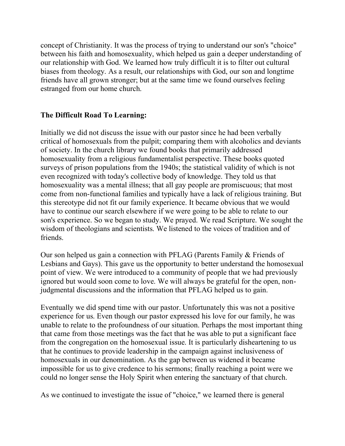concept of Christianity. It was the process of trying to understand our son's "choice" between his faith and homosexuality, which helped us gain a deeper understanding of our relationship with God. We learned how truly difficult it is to filter out cultural biases from theology. As a result, our relationships with God, our son and longtime friends have all grown stronger; but at the same time we found ourselves feeling estranged from our home church.

## **The Difficult Road To Learning:**

Initially we did not discuss the issue with our pastor since he had been verbally critical of homosexuals from the pulpit; comparing them with alcoholics and deviants of society. In the church library we found books that primarily addressed homosexuality from a religious fundamentalist perspective. These books quoted surveys of prison populations from the 1940s; the statistical validity of which is not even recognized with today's collective body of knowledge. They told us that homosexuality was a mental illness; that all gay people are promiscuous; that most come from non-functional families and typically have a lack of religious training. But this stereotype did not fit our family experience. It became obvious that we would have to continue our search elsewhere if we were going to be able to relate to our son's experience. So we began to study. We prayed. We read Scripture. We sought the wisdom of theologians and scientists. We listened to the voices of tradition and of friends.

Our son helped us gain a connection with PFLAG (Parents Family & Friends of Lesbians and Gays). This gave us the opportunity to better understand the homosexual point of view. We were introduced to a community of people that we had previously ignored but would soon come to love. We will always be grateful for the open, nonjudgmental discussions and the information that PFLAG helped us to gain.

Eventually we did spend time with our pastor. Unfortunately this was not a positive experience for us. Even though our pastor expressed his love for our family, he was unable to relate to the profoundness of our situation. Perhaps the most important thing that came from those meetings was the fact that he was able to put a significant face from the congregation on the homosexual issue. It is particularly disheartening to us that he continues to provide leadership in the campaign against inclusiveness of homosexuals in our denomination. As the gap between us widened it became impossible for us to give credence to his sermons; finally reaching a point were we could no longer sense the Holy Spirit when entering the sanctuary of that church.

As we continued to investigate the issue of "choice," we learned there is general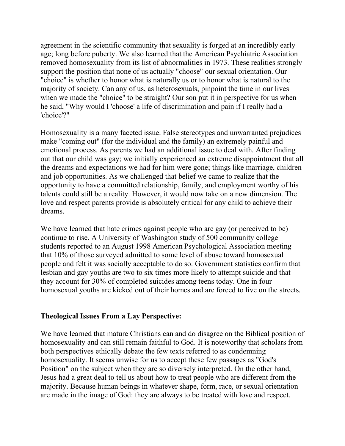agreement in the scientific community that sexuality is forged at an incredibly early age; long before puberty. We also learned that the American Psychiatric Association removed homosexuality from its list of abnormalities in 1973. These realities strongly support the position that none of us actually "choose" our sexual orientation. Our "choice" is whether to honor what is naturally us or to honor what is natural to the majority of society. Can any of us, as heterosexuals, pinpoint the time in our lives when we made the "choice" to be straight? Our son put it in perspective for us when he said, "Why would I 'choose' a life of discrimination and pain if I really had a 'choice'?"

Homosexuality is a many faceted issue. False stereotypes and unwarranted prejudices make "coming out" (for the individual and the family) an extremely painful and emotional process. As parents we had an additional issue to deal with. After finding out that our child was gay; we initially experienced an extreme disappointment that all the dreams and expectations we had for him were gone; things like marriage, children and job opportunities. As we challenged that belief we came to realize that the opportunity to have a committed relationship, family, and employment worthy of his talents could still be a reality. However, it would now take on a new dimension. The love and respect parents provide is absolutely critical for any child to achieve their dreams.

We have learned that hate crimes against people who are gay (or perceived to be) continue to rise. A University of Washington study of 500 community college students reported to an August 1998 American Psychological Association meeting that 10% of those surveyed admitted to some level of abuse toward homosexual people and felt it was socially acceptable to do so. Government statistics confirm that lesbian and gay youths are two to six times more likely to attempt suicide and that they account for 30% of completed suicides among teens today. One in four homosexual youths are kicked out of their homes and are forced to live on the streets.

#### **Theological Issues From a Lay Perspective:**

We have learned that mature Christians can and do disagree on the Biblical position of homosexuality and can still remain faithful to God. It is noteworthy that scholars from both perspectives ethically debate the few texts referred to as condemning homosexuality. It seems unwise for us to accept these few passages as "God's Position" on the subject when they are so diversely interpreted. On the other hand, Jesus had a great deal to tell us about how to treat people who are different from the majority. Because human beings in whatever shape, form, race, or sexual orientation are made in the image of God: they are always to be treated with love and respect.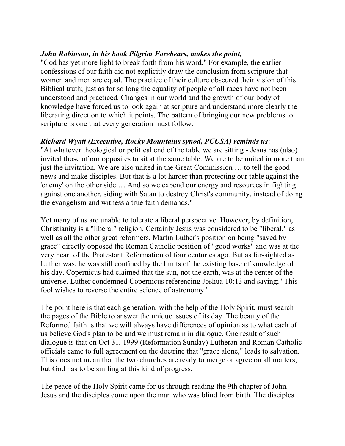## *John Robinson, in his book Pilgrim Forebears, makes the point,*

"God has yet more light to break forth from his word." For example, the earlier confessions of our faith did not explicitly draw the conclusion from scripture that women and men are equal. The practice of their culture obscured their vision of this Biblical truth; just as for so long the equality of people of all races have not been understood and practiced. Changes in our world and the growth of our body of knowledge have forced us to look again at scripture and understand more clearly the liberating direction to which it points. The pattern of bringing our new problems to scripture is one that every generation must follow.

## *Richard Wyatt (Executive, Rocky Mountains synod, PCUSA) reminds us*:

"At whatever theological or political end of the table we are sitting - Jesus has (also) invited those of our opposites to sit at the same table. We are to be united in more than just the invitation. We are also united in the Great Commission … to tell the good news and make disciples. But that is a lot harder than protecting our table against the 'enemy' on the other side … And so we expend our energy and resources in fighting against one another, siding with Satan to destroy Christ's community, instead of doing the evangelism and witness a true faith demands."

Yet many of us are unable to tolerate a liberal perspective. However, by definition, Christianity is a "liberal" religion. Certainly Jesus was considered to be "liberal," as well as all the other great reformers. Martin Luther's position on being "saved by grace" directly opposed the Roman Catholic position of "good works" and was at the very heart of the Protestant Reformation of four centuries ago. But as far-sighted as Luther was, he was still confined by the limits of the existing base of knowledge of his day. Copernicus had claimed that the sun, not the earth, was at the center of the universe. Luther condemned Copernicus referencing Joshua 10:13 and saying; "This fool wishes to reverse the entire science of astronomy."

The point here is that each generation, with the help of the Holy Spirit, must search the pages of the Bible to answer the unique issues of its day. The beauty of the Reformed faith is that we will always have differences of opinion as to what each of us believe God's plan to be and we must remain in dialogue. One result of such dialogue is that on Oct 31, 1999 (Reformation Sunday) Lutheran and Roman Catholic officials came to full agreement on the doctrine that "grace alone," leads to salvation. This does not mean that the two churches are ready to merge or agree on all matters, but God has to be smiling at this kind of progress.

The peace of the Holy Spirit came for us through reading the 9th chapter of John. Jesus and the disciples come upon the man who was blind from birth. The disciples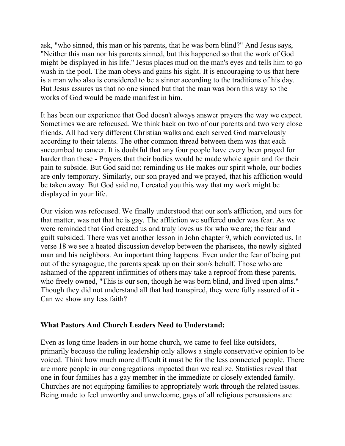ask, "who sinned, this man or his parents, that he was born blind?" And Jesus says, "Neither this man nor his parents sinned, but this happened so that the work of God might be displayed in his life." Jesus places mud on the man's eyes and tells him to go wash in the pool. The man obeys and gains his sight. It is encouraging to us that here is a man who also is considered to be a sinner according to the traditions of his day. But Jesus assures us that no one sinned but that the man was born this way so the works of God would be made manifest in him.

It has been our experience that God doesn't always answer prayers the way we expect. Sometimes we are refocused. We think back on two of our parents and two very close friends. All had very different Christian walks and each served God marvelously according to their talents. The other common thread between them was that each succumbed to cancer. It is doubtful that any four people have every been prayed for harder than these - Prayers that their bodies would be made whole again and for their pain to subside. But God said no; reminding us He makes our spirit whole, our bodies are only temporary. Similarly, our son prayed and we prayed, that his affliction would be taken away. But God said no, I created you this way that my work might be displayed in your life.

Our vision was refocused. We finally understood that our son's affliction, and ours for that matter, was not that he is gay. The affliction we suffered under was fear. As we were reminded that God created us and truly loves us for who we are; the fear and guilt subsided. There was yet another lesson in John chapter 9, which convicted us. In verse 18 we see a heated discussion develop between the pharisees, the newly sighted man and his neighbors. An important thing happens. Even under the fear of being put out of the synagogue, the parents speak up on their son/s behalf. Those who are ashamed of the apparent infirmities of others may take a reproof from these parents, who freely owned, "This is our son, though he was born blind, and lived upon alms." Though they did not understand all that had transpired, they were fully assured of it - Can we show any less faith?

### **What Pastors And Church Leaders Need to Understand:**

Even as long time leaders in our home church, we came to feel like outsiders, primarily because the ruling leadership only allows a single conservative opinion to be voiced. Think how much more difficult it must be for the less connected people. There are more people in our congregations impacted than we realize. Statistics reveal that one in four families has a gay member in the immediate or closely extended family. Churches are not equipping families to appropriately work through the related issues. Being made to feel unworthy and unwelcome, gays of all religious persuasions are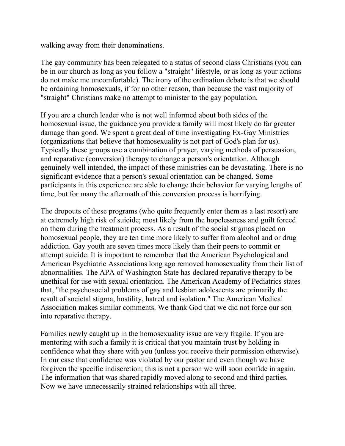walking away from their denominations.

The gay community has been relegated to a status of second class Christians (you can be in our church as long as you follow a "straight" lifestyle, or as long as your actions do not make me uncomfortable). The irony of the ordination debate is that we should be ordaining homosexuals, if for no other reason, than because the vast majority of "straight" Christians make no attempt to minister to the gay population.

If you are a church leader who is not well informed about both sides of the homosexual issue, the guidance you provide a family will most likely do far greater damage than good. We spent a great deal of time investigating Ex-Gay Ministries (organizations that believe that homosexuality is not part of God's plan for us). Typically these groups use a combination of prayer, varying methods of persuasion, and reparative (conversion) therapy to change a person's orientation. Although genuinely well intended, the impact of these ministries can be devastating. There is no significant evidence that a person's sexual orientation can be changed. Some participants in this experience are able to change their behavior for varying lengths of time, but for many the aftermath of this conversion process is horrifying.

The dropouts of these programs (who quite frequently enter them as a last resort) are at extremely high risk of suicide; most likely from the hopelessness and guilt forced on them during the treatment process. As a result of the social stigmas placed on homosexual people, they are ten time more likely to suffer from alcohol and or drug addiction. Gay youth are seven times more likely than their peers to commit or attempt suicide. It is important to remember that the American Psychological and American Psychiatric Associations long ago removed homosexuality from their list of abnormalities. The APA of Washington State has declared reparative therapy to be unethical for use with sexual orientation. The American Academy of Pediatrics states that, "the psychosocial problems of gay and lesbian adolescents are primarily the result of societal stigma, hostility, hatred and isolation." The American Medical Association makes similar comments. We thank God that we did not force our son into reparative therapy.

Families newly caught up in the homosexuality issue are very fragile. If you are mentoring with such a family it is critical that you maintain trust by holding in confidence what they share with you (unless you receive their permission otherwise). In our case that confidence was violated by our pastor and even though we have forgiven the specific indiscretion; this is not a person we will soon confide in again. The information that was shared rapidly moved along to second and third parties. Now we have unnecessarily strained relationships with all three.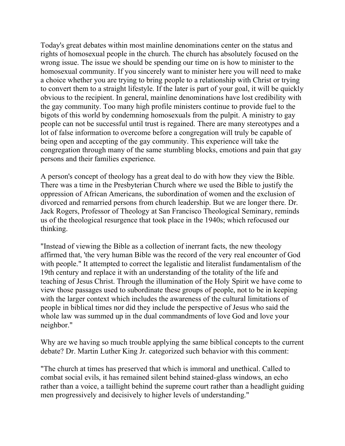Today's great debates within most mainline denominations center on the status and rights of homosexual people in the church. The church has absolutely focused on the wrong issue. The issue we should be spending our time on is how to minister to the homosexual community. If you sincerely want to minister here you will need to make a choice whether you are trying to bring people to a relationship with Christ or trying to convert them to a straight lifestyle. If the later is part of your goal, it will be quickly obvious to the recipient. In general, mainline denominations have lost credibility with the gay community. Too many high profile ministers continue to provide fuel to the bigots of this world by condemning homosexuals from the pulpit. A ministry to gay people can not be successful until trust is regained. There are many stereotypes and a lot of false information to overcome before a congregation will truly be capable of being open and accepting of the gay community. This experience will take the congregation through many of the same stumbling blocks, emotions and pain that gay persons and their families experience.

A person's concept of theology has a great deal to do with how they view the Bible. There was a time in the Presbyterian Church where we used the Bible to justify the oppression of African Americans, the subordination of women and the exclusion of divorced and remarried persons from church leadership. But we are longer there. Dr. Jack Rogers, Professor of Theology at San Francisco Theological Seminary, reminds us of the theological resurgence that took place in the 1940s; which refocused our thinking.

"Instead of viewing the Bible as a collection of inerrant facts, the new theology affirmed that, 'the very human Bible was the record of the very real encounter of God with people." It attempted to correct the legalistic and literalist fundamentalism of the 19th century and replace it with an understanding of the totality of the life and teaching of Jesus Christ. Through the illumination of the Holy Spirit we have come to view those passages used to subordinate these groups of people, not to be in keeping with the larger context which includes the awareness of the cultural limitations of people in biblical times nor did they include the perspective of Jesus who said the whole law was summed up in the dual commandments of love God and love your neighbor."

Why are we having so much trouble applying the same biblical concepts to the current debate? Dr. Martin Luther King Jr. categorized such behavior with this comment:

"The church at times has preserved that which is immoral and unethical. Called to combat social evils, it has remained silent behind stained-glass windows, an echo rather than a voice, a taillight behind the supreme court rather than a headlight guiding men progressively and decisively to higher levels of understanding."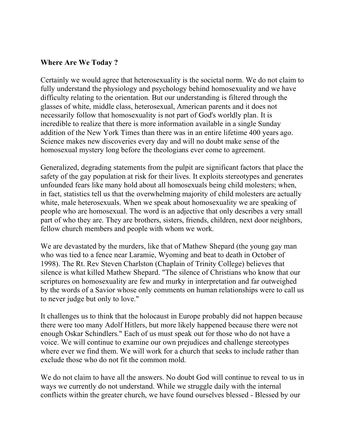## **Where Are We Today ?**

Certainly we would agree that heterosexuality is the societal norm. We do not claim to fully understand the physiology and psychology behind homosexuality and we have difficulty relating to the orientation. But our understanding is filtered through the glasses of white, middle class, heterosexual, American parents and it does not necessarily follow that homosexuality is not part of God's worldly plan. It is incredible to realize that there is more information available in a single Sunday addition of the New York Times than there was in an entire lifetime 400 years ago. Science makes new discoveries every day and will no doubt make sense of the homosexual mystery long before the theologians ever come to agreement.

Generalized, degrading statements from the pulpit are significant factors that place the safety of the gay population at risk for their lives. It exploits stereotypes and generates unfounded fears like many hold about all homosexuals being child molesters; when, in fact, statistics tell us that the overwhelming majority of child molesters are actually white, male heterosexuals. When we speak about homosexuality we are speaking of people who are homosexual. The word is an adjective that only describes a very small part of who they are. They are brothers, sisters, friends, children, next door neighbors, fellow church members and people with whom we work.

We are devastated by the murders, like that of Mathew Shepard (the young gay man who was tied to a fence near Laramie, Wyoming and beat to death in October of 1998). The Rt. Rev Steven Charlston (Chaplain of Trinity College) believes that silence is what killed Mathew Shepard. "The silence of Christians who know that our scriptures on homosexuality are few and murky in interpretation and far outweighed by the words of a Savior whose only comments on human relationships were to call us to never judge but only to love."

It challenges us to think that the holocaust in Europe probably did not happen because there were too many Adolf Hitlers, but more likely happened because there were not enough Oskar Schindlers." Each of us must speak out for those who do not have a voice. We will continue to examine our own prejudices and challenge stereotypes where ever we find them. We will work for a church that seeks to include rather than exclude those who do not fit the common mold.

We do not claim to have all the answers. No doubt God will continue to reveal to us in ways we currently do not understand. While we struggle daily with the internal conflicts within the greater church, we have found ourselves blessed - Blessed by our